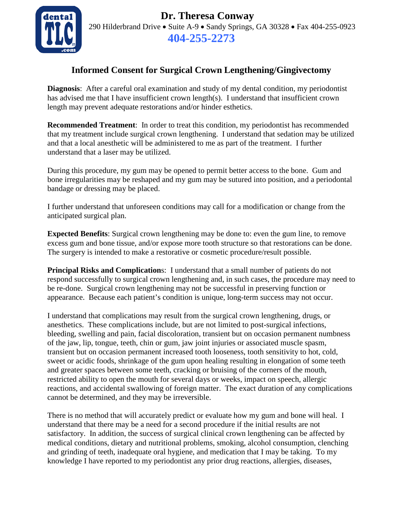

 **Dr. Theresa Conway** 290 Hilderbrand Drive • Suite A-9 • Sandy Springs, GA 30328 • Fax 404-255-0923 **404-255-2273**

## **Informed Consent for Surgical Crown Lengthening/Gingivectomy**

**Diagnosis**: After a careful oral examination and study of my dental condition, my periodontist has advised me that I have insufficient crown length(s). I understand that insufficient crown length may prevent adequate restorations and/or hinder esthetics.

**Recommended Treatment**: In order to treat this condition, my periodontist has recommended that my treatment include surgical crown lengthening. I understand that sedation may be utilized and that a local anesthetic will be administered to me as part of the treatment. I further understand that a laser may be utilized.

During this procedure, my gum may be opened to permit better access to the bone. Gum and bone irregularities may be reshaped and my gum may be sutured into position, and a periodontal bandage or dressing may be placed.

I further understand that unforeseen conditions may call for a modification or change from the anticipated surgical plan.

**Expected Benefits**: Surgical crown lengthening may be done to: even the gum line, to remove excess gum and bone tissue, and/or expose more tooth structure so that restorations can be done. The surgery is intended to make a restorative or cosmetic procedure/result possible.

**Principal Risks and Complication**s: I understand that a small number of patients do not respond successfully to surgical crown lengthening and, in such cases, the procedure may need to be re-done. Surgical crown lengthening may not be successful in preserving function or appearance. Because each patient's condition is unique, long-term success may not occur.

I understand that complications may result from the surgical crown lengthening, drugs, or anesthetics. These complications include, but are not limited to post-surgical infections, bleeding, swelling and pain, facial discoloration, transient but on occasion permanent numbness of the jaw, lip, tongue, teeth, chin or gum, jaw joint injuries or associated muscle spasm, transient but on occasion permanent increased tooth looseness, tooth sensitivity to hot, cold, sweet or acidic foods, shrinkage of the gum upon healing resulting in elongation of some teeth and greater spaces between some teeth, cracking or bruising of the corners of the mouth, restricted ability to open the mouth for several days or weeks, impact on speech, allergic reactions, and accidental swallowing of foreign matter. The exact duration of any complications cannot be determined, and they may be irreversible.

There is no method that will accurately predict or evaluate how my gum and bone will heal. I understand that there may be a need for a second procedure if the initial results are not satisfactory. In addition, the success of surgical clinical crown lengthening can be affected by medical conditions, dietary and nutritional problems, smoking, alcohol consumption, clenching and grinding of teeth, inadequate oral hygiene, and medication that I may be taking. To my knowledge I have reported to my periodontist any prior drug reactions, allergies, diseases,